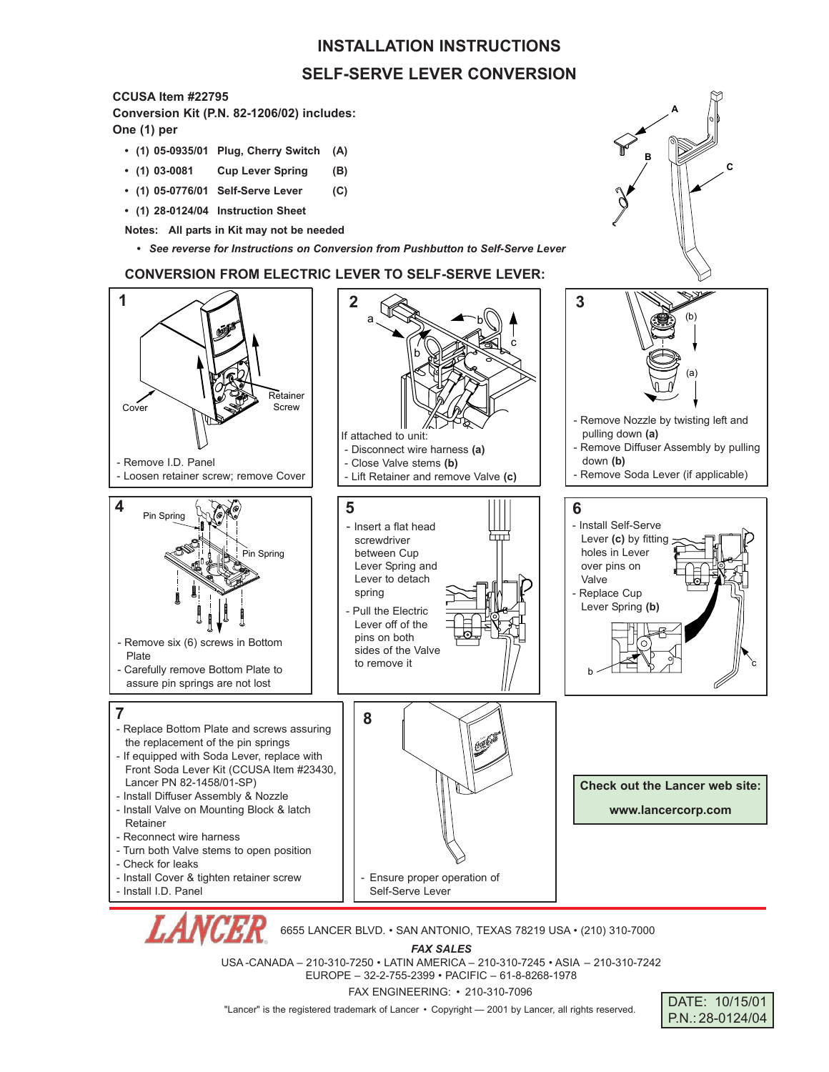## **INSTALLATION INSTRUCTIONS SELF-SERVE LEVER CONVERSION**

## **CCUSA Item #22795**

**Conversion Kit (P.N. 82-1206/02) includes:**

**One (1) per**

- **(1) 05-0935/01 Plug, Cherry Switch (A)**
- **(1) 03-0081 Cup Lever Spring (B)**
- **(1) 05-0776/01 Self-Serve Lever (C)**
- **(1) 28-0124/04 Instruction Sheet**
- **Notes: All parts in Kit may not be needed**
	- **•** *See reverse for Instructions on Conversion from Pushbutton to Self-Serve Lever*

## **CONVERSION FROM ELECTRIC LEVER TO SELF-SERVE LEVER:**



USA -CANADA – 210-310-7250 • LATIN AMERICA – 210-310-7245 • ASIA – 210-310-7242 EUROPE – 32-2-755-2399 • PACIFIC – 61-8-8268-1978

FAX ENGINEERING: • 210-310-7096

"Lancer" is the registered trademark of Lancer • Copyright - 2001 by Lancer, all rights reserved.



**A**

**C**

**B**